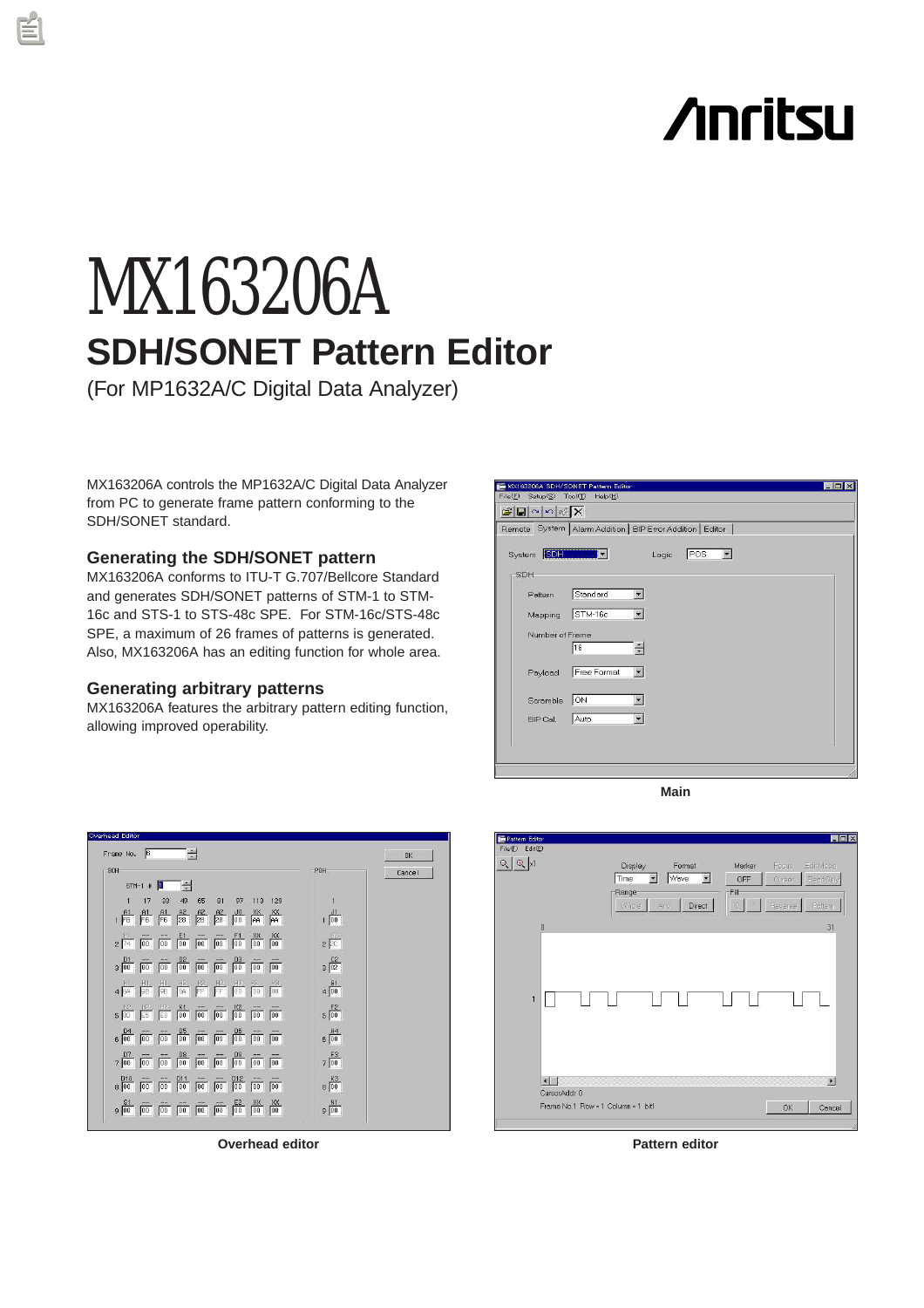# **Anritsu**

# MX163206A **SDH/SONET Pattern Editor**

(For MP1632A/C Digital Data Analyzer)

MX163206A controls the MP1632A/C Digital Data Analyzer from PC to generate frame pattern conforming to the SDH/SONET standard.

# **Generating the SDH/SONET pattern**

MX163206A conforms to ITU-T G.707/Bellcore Standard and generates SDH/SONET patterns of STM-1 to STM-16c and STS-1 to STS-48c SPE. For STM-16c/STS-48c SPE, a maximum of 26 frames of patterns is generated. Also, MX163206A has an editing function for whole area.

# **Generating arbitrary patterns**

MX163206A features the arbitrary pattern editing function, allowing improved operability.







**Overhead editor Pattern editor**